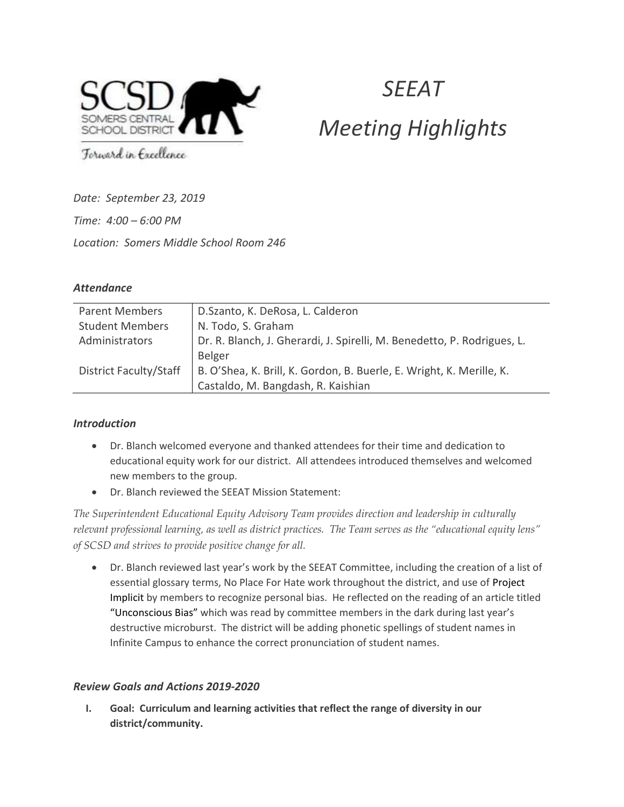

# **SFFAT** Meeting Highlights

Forward in Excellence

Date: September 23, 2019

Time: 4:00 – 6:00 PM

Location: Somers Middle School Room 246

## **Attendance**

| <b>Parent Members</b>         | D.Szanto, K. DeRosa, L. Calderon                                        |
|-------------------------------|-------------------------------------------------------------------------|
| <b>Student Members</b>        | N. Todo, S. Graham                                                      |
| Administrators                | Dr. R. Blanch, J. Gherardi, J. Spirelli, M. Benedetto, P. Rodrigues, L. |
|                               | <b>Belger</b>                                                           |
| <b>District Faculty/Staff</b> | B. O'Shea, K. Brill, K. Gordon, B. Buerle, E. Wright, K. Merille, K.    |
|                               | Castaldo, M. Bangdash, R. Kaishian                                      |

### Introduction

- Dr. Blanch welcomed everyone and thanked attendees for their time and dedication to educational equity work for our district. All attendees introduced themselves and welcomed new members to the group.
- Dr. Blanch reviewed the SEEAT Mission Statement:

The Superintendent Educational Equity Advisory Team provides direction and leadership in culturally relevant professional learning, as well as district practices. The Team serves as the "educational equity lens" of SCSD and strives to provide positive change for all.

 Dr. Blanch reviewed last year's work by the SEEAT Committee, including the creation of a list of essential glossary terms, No Place For Hate work throughout the district, and use of Project Implicit by members to recognize personal bias. He reflected on the reading of an article titled "Unconscious Bias" which was read by committee members in the dark during last year's destructive microburst. The district will be adding phonetic spellings of student names in Infinite Campus to enhance the correct pronunciation of student names.

## Review Goals and Actions 2019-2020

I. Goal: Curriculum and learning activities that reflect the range of diversity in our district/community.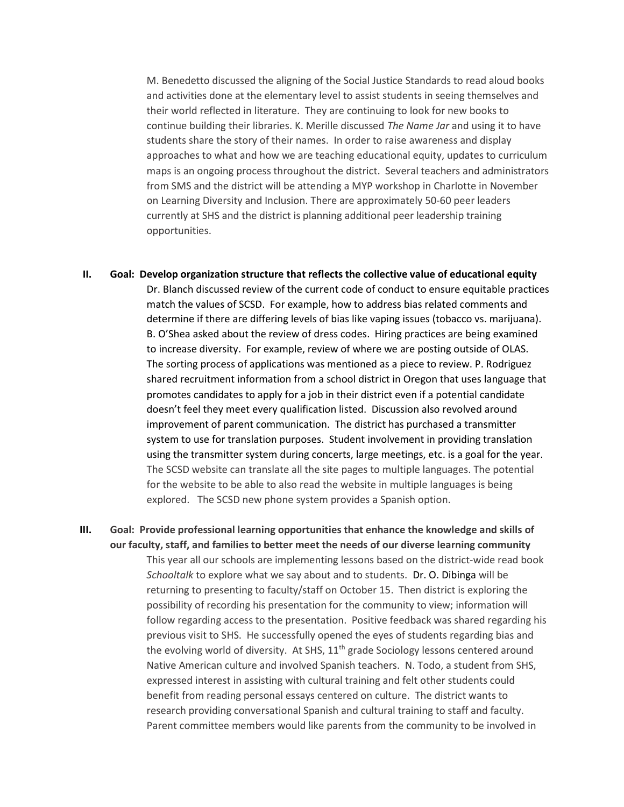M. Benedetto discussed the aligning of the Social Justice Standards to read aloud books and activities done at the elementary level to assist students in seeing themselves and their world reflected in literature. They are continuing to look for new books to continue building their libraries. K. Merille discussed The Name Jar and using it to have students share the story of their names. In order to raise awareness and display approaches to what and how we are teaching educational equity, updates to curriculum maps is an ongoing process throughout the district. Several teachers and administrators from SMS and the district will be attending a MYP workshop in Charlotte in November on Learning Diversity and Inclusion. There are approximately 50-60 peer leaders currently at SHS and the district is planning additional peer leadership training opportunities.

- II. Goal: Develop organization structure that reflects the collective value of educational equity Dr. Blanch discussed review of the current code of conduct to ensure equitable practices match the values of SCSD. For example, how to address bias related comments and determine if there are differing levels of bias like vaping issues (tobacco vs. marijuana). B. O'Shea asked about the review of dress codes. Hiring practices are being examined to increase diversity. For example, review of where we are posting outside of OLAS. The sorting process of applications was mentioned as a piece to review. P. Rodriguez shared recruitment information from a school district in Oregon that uses language that promotes candidates to apply for a job in their district even if a potential candidate doesn't feel they meet every qualification listed. Discussion also revolved around improvement of parent communication. The district has purchased a transmitter system to use for translation purposes. Student involvement in providing translation using the transmitter system during concerts, large meetings, etc. is a goal for the year. The SCSD website can translate all the site pages to multiple languages. The potential for the website to be able to also read the website in multiple languages is being explored. The SCSD new phone system provides a Spanish option.
- III. Goal: Provide professional learning opportunities that enhance the knowledge and skills of our faculty, staff, and families to better meet the needs of our diverse learning community This year all our schools are implementing lessons based on the district-wide read book Schooltalk to explore what we say about and to students. Dr. O. Dibinga will be returning to presenting to faculty/staff on October 15. Then district is exploring the possibility of recording his presentation for the community to view; information will follow regarding access to the presentation. Positive feedback was shared regarding his previous visit to SHS. He successfully opened the eyes of students regarding bias and the evolving world of diversity. At SHS, 11<sup>th</sup> grade Sociology lessons centered around Native American culture and involved Spanish teachers. N. Todo, a student from SHS, expressed interest in assisting with cultural training and felt other students could benefit from reading personal essays centered on culture. The district wants to research providing conversational Spanish and cultural training to staff and faculty. Parent committee members would like parents from the community to be involved in